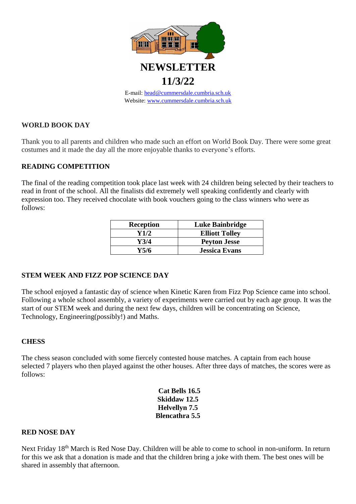

## **WORLD BOOK DAY**

Thank you to all parents and children who made such an effort on World Book Day. There were some great costumes and it made the day all the more enjoyable thanks to everyone's efforts.

## **READING COMPETITION**

The final of the reading competition took place last week with 24 children being selected by their teachers to read in front of the school. All the finalists did extremely well speaking confidently and clearly with expression too. They received chocolate with book vouchers going to the class winners who were as follows:

| <b>Reception</b> | Luke Bainbridge       |
|------------------|-----------------------|
| Y1/2             | <b>Elliott Tolley</b> |
| Y3/4             | <b>Peyton Jesse</b>   |
| Y5/6             | <b>Jessica Evans</b>  |

## **STEM WEEK AND FIZZ POP SCIENCE DAY**

The school enjoyed a fantastic day of science when Kinetic Karen from Fizz Pop Science came into school. Following a whole school assembly, a variety of experiments were carried out by each age group. It was the start of our STEM week and during the next few days, children will be concentrating on Science, Technology, Engineering(possibly!) and Maths.

## **CHESS**

The chess season concluded with some fiercely contested house matches. A captain from each house selected 7 players who then played against the other houses. After three days of matches, the scores were as follows:

> **Cat Bells 16.5 Skiddaw 12.5 Helvellyn 7.5 Blencathra 5.5**

#### **RED NOSE DAY**

Next Friday 18th March is Red Nose Day. Children will be able to come to school in non-uniform. In return for this we ask that a donation is made and that the children bring a joke with them. The best ones will be shared in assembly that afternoon.